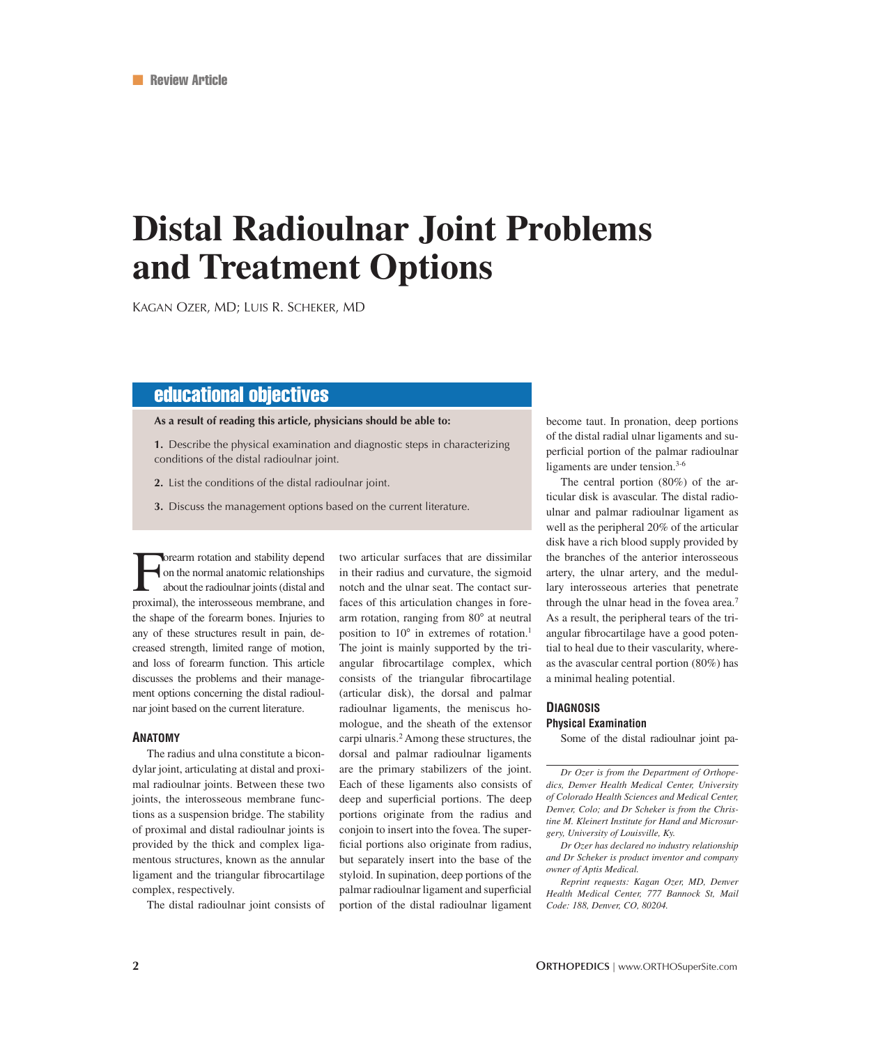# **Distal Radioulnar Joint Problems and Treatment Options**

KAGAN OZER, MD; LUIS R. SCHEKER, MD

## educational objectives

**As a result of reading this article, physicians should be able to:** 

**1.** Describe the physical examination and diagnostic steps in characterizing conditions of the distal radioulnar joint.

**2.** List the conditions of the distal radioulnar joint.

**3.** Discuss the management options based on the current literature.

Forearm rotation and stability depend<br>on the normal anatomic relationships<br>about the radioulnar joints (distal and<br>proximal) the interosseous membrane and on the normal anatomic relationships about the radioulnar joints (distal and proximal), the interosseous membrane, and the shape of the forearm bones. Injuries to any of these structures result in pain, decreased strength, limited range of motion, and loss of forearm function. This article discusses the problems and their management options concerning the distal radioulnar joint based on the current literature.

#### **ANATOMY**

The radius and ulna constitute a bicondylar joint, articulating at distal and proximal radioulnar joints. Between these two joints, the interosseous membrane functions as a suspension bridge. The stability of proximal and distal radioulnar joints is provided by the thick and complex ligamentous structures, known as the annular ligament and the triangular fibrocartilage complex, respectively.

The distal radioulnar joint consists of

two articular surfaces that are dissimilar in their radius and curvature, the sigmoid notch and the ulnar seat. The contact surfaces of this articulation changes in forearm rotation, ranging from 80° at neutral position to  $10^{\circ}$  in extremes of rotation.<sup>1</sup> The joint is mainly supported by the triangular fibrocartilage complex, which consists of the triangular fibrocartilage (articular disk), the dorsal and palmar radioulnar ligaments, the meniscus homologue, and the sheath of the extensor carpi ulnaris.2 Among these structures, the dorsal and palmar radioulnar ligaments are the primary stabilizers of the joint. Each of these ligaments also consists of deep and superficial portions. The deep portions originate from the radius and conjoin to insert into the fovea. The superficial portions also originate from radius, but separately insert into the base of the styloid. In supination, deep portions of the palmar radioulnar ligament and superficial portion of the distal radioulnar ligament become taut. In pronation, deep portions of the distal radial ulnar ligaments and superficial portion of the palmar radioulnar ligaments are under tension.<sup>3-6</sup>

The central portion (80%) of the articular disk is avascular. The distal radioulnar and palmar radioulnar ligament as well as the peripheral 20% of the articular disk have a rich blood supply provided by the branches of the anterior interosseous artery, the ulnar artery, and the medullary interosseous arteries that penetrate through the ulnar head in the fovea area.<sup>7</sup> As a result, the peripheral tears of the triangular fibrocartilage have a good potential to heal due to their vascularity, whereas the avascular central portion (80%) has a minimal healing potential.

### **DIAGNOSIS Physical Examination**

Some of the distal radioulnar joint pa-

*Dr Ozer is from the Department of Orthopedics, Denver Health Medical Center, University of Colorado Health Sciences and Medical Center, Denver, Colo; and Dr Scheker is from the Christine M. Kleinert Institute for Hand and Microsurgery, University of Louisville, Ky.*

*Dr Ozer has declared no industry relationship and Dr Scheker is product inventor and company owner of Aptis Medical.*

*Reprint requests: Kagan Ozer, MD, Denver Health Medical Center, 777 Bannock St, Mail Code: 188, Denver, CO, 80204.*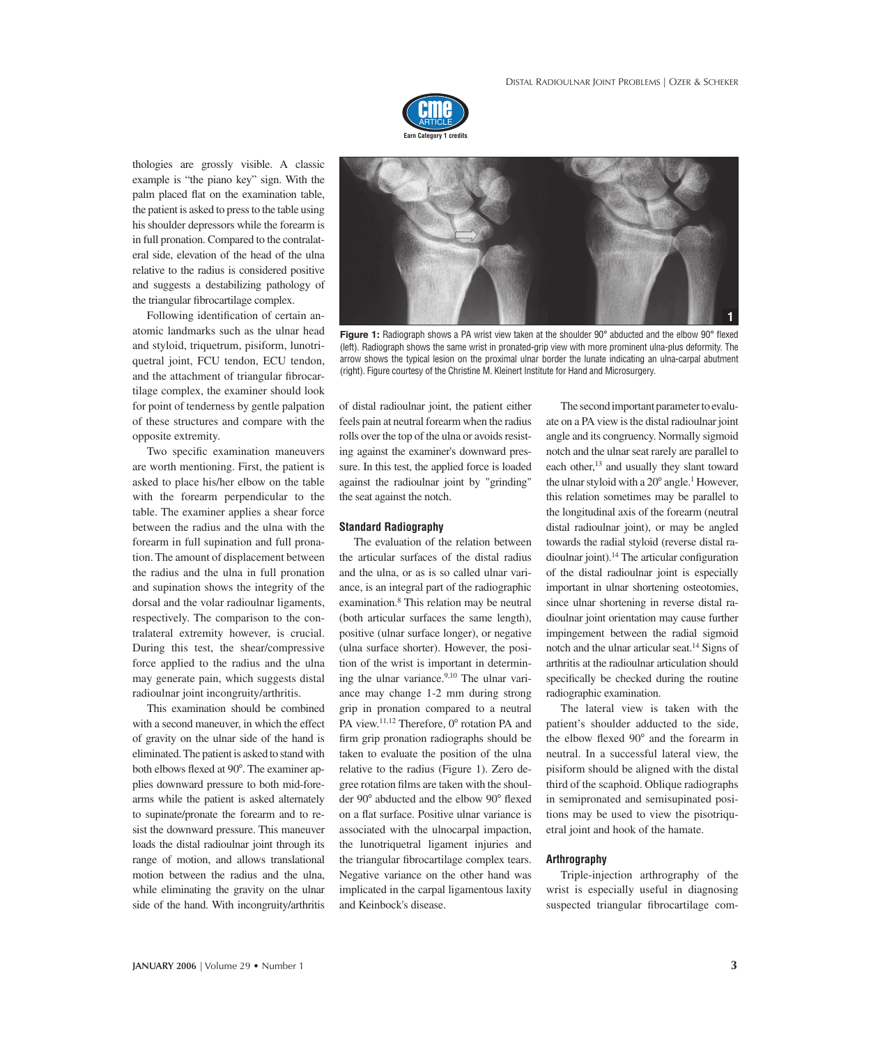

thologies are grossly visible. A classic example is "the piano key" sign. With the palm placed flat on the examination table, the patient is asked to press to the table using his shoulder depressors while the forearm is in full pronation. Compared to the contralateral side, elevation of the head of the ulna relative to the radius is considered positive and suggests a destabilizing pathology of the triangular fibrocartilage complex.

Following identification of certain anatomic landmarks such as the ulnar head and styloid, triquetrum, pisiform, lunotriquetral joint, FCU tendon, ECU tendon, and the attachment of triangular fibrocartilage complex, the examiner should look for point of tenderness by gentle palpation of these structures and compare with the opposite extremity.

Two specific examination maneuvers are worth mentioning. First, the patient is asked to place his/her elbow on the table with the forearm perpendicular to the table. The examiner applies a shear force between the radius and the ulna with the forearm in full supination and full pronation. The amount of displacement between the radius and the ulna in full pronation and supination shows the integrity of the dorsal and the volar radioulnar ligaments, respectively. The comparison to the contralateral extremity however, is crucial. During this test, the shear/compressive force applied to the radius and the ulna may generate pain, which suggests distal radioulnar joint incongruity/arthritis.

This examination should be combined with a second maneuver, in which the effect of gravity on the ulnar side of the hand is eliminated. The patient is asked to stand with both elbows flexed at 90°. The examiner applies downward pressure to both mid-forearms while the patient is asked alternately to supinate/pronate the forearm and to resist the downward pressure. This maneuver loads the distal radioulnar joint through its range of motion, and allows translational motion between the radius and the ulna, while eliminating the gravity on the ulnar side of the hand. With incongruity/arthritis



Figure 1: Radiograph shows a PA wrist view taken at the shoulder 90° abducted and the elbow 90° flexed (left). Radiograph shows the same wrist in pronated-grip view with more prominent ulna-plus deformity. The arrow shows the typical lesion on the proximal ulnar border the lunate indicating an ulna-carpal abutment (right). Figure courtesy of the Christine M. Kleinert Institute for Hand and Microsurgery.

of distal radioulnar joint, the patient either feels pain at neutral forearm when the radius rolls over the top of the ulna or avoids resisting against the examiner's downward pressure. In this test, the applied force is loaded against the radioulnar joint by "grinding" the seat against the notch.

#### **Standard Radiography**

The evaluation of the relation between the articular surfaces of the distal radius and the ulna, or as is so called ulnar variance, is an integral part of the radiographic examination.8 This relation may be neutral (both articular surfaces the same length), positive (ulnar surface longer), or negative (ulna surface shorter). However, the position of the wrist is important in determining the ulnar variance.<sup>9,10</sup> The ulnar variance may change 1-2 mm during strong grip in pronation compared to a neutral PA view. $11,12$  Therefore,  $0^{\circ}$  rotation PA and firm grip pronation radiographs should be taken to evaluate the position of the ulna relative to the radius (Figure 1). Zero degree rotation films are taken with the shoulder 90° abducted and the elbow 90° flexed on a flat surface. Positive ulnar variance is associated with the ulnocarpal impaction, the lunotriquetral ligament injuries and the triangular fibrocartilage complex tears. Negative variance on the other hand was implicated in the carpal ligamentous laxity and Keinbock's disease.

The second important parameter to evaluate on a PA view is the distal radioulnar joint angle and its congruency. Normally sigmoid notch and the ulnar seat rarely are parallel to each other,<sup>13</sup> and usually they slant toward the ulnar styloid with a  $20^{\circ}$  angle.<sup>1</sup> However, this relation sometimes may be parallel to the longitudinal axis of the forearm (neutral distal radioulnar joint), or may be angled towards the radial styloid (reverse distal radioulnar joint).<sup>14</sup> The articular configuration of the distal radioulnar joint is especially important in ulnar shortening osteotomies, since ulnar shortening in reverse distal radioulnar joint orientation may cause further impingement between the radial sigmoid notch and the ulnar articular seat.14 Signs of arthritis at the radioulnar articulation should specifically be checked during the routine radiographic examination.

The lateral view is taken with the patient's shoulder adducted to the side, the elbow flexed  $90^\circ$  and the forearm in neutral. In a successful lateral view, the pisiform should be aligned with the distal third of the scaphoid. Oblique radiographs in semipronated and semisupinated positions may be used to view the pisotriquetral joint and hook of the hamate.

#### **Arthrography**

Triple-injection arthrography of the wrist is especially useful in diagnosing suspected triangular fibrocartilage com-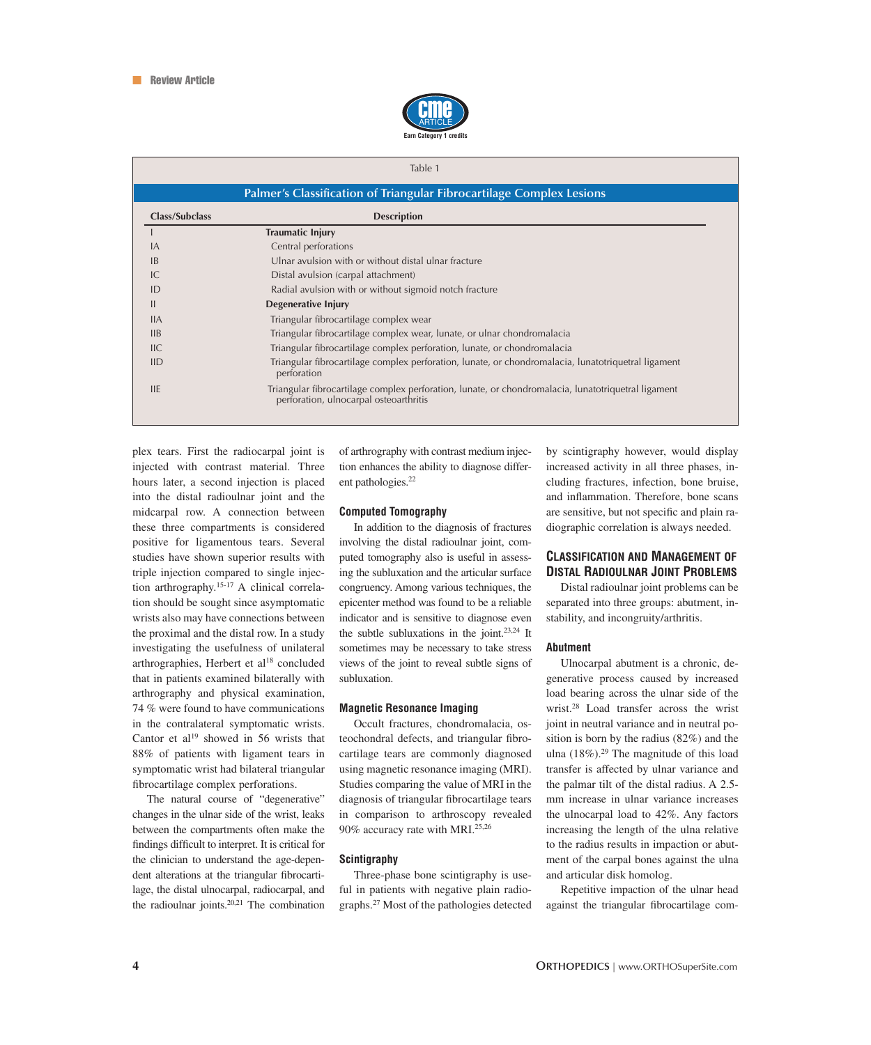

#### Table 1

| Class/Subclass | <b>Description</b>                                                                                                                            |
|----------------|-----------------------------------------------------------------------------------------------------------------------------------------------|
|                | <b>Traumatic Injury</b>                                                                                                                       |
| IA             | Central perforations                                                                                                                          |
| IB             | Ulnar avulsion with or without distal ulnar fracture                                                                                          |
| IC             | Distal avulsion (carpal attachment)                                                                                                           |
| ID             | Radial avulsion with or without sigmoid notch fracture                                                                                        |
| $\mathbf{I}$   | Degenerative Injury                                                                                                                           |
| IIA            | Triangular fibrocartilage complex wear                                                                                                        |
| IIB            | Triangular fibrocartilage complex wear, lunate, or ulnar chondromalacia                                                                       |
| HC             | Triangular fibrocartilage complex perforation, lunate, or chondromalacia                                                                      |
| IID            | Triangular fibrocartilage complex perforation, lunate, or chondromalacia, lunatotriquetral ligament<br>perforation                            |
| <b>IIE</b>     | Triangular fibrocartilage complex perforation, lunate, or chondromalacia, lunatotriquetral ligament<br>perforation, ulnocarpal osteoarthritis |

plex tears. First the radiocarpal joint is injected with contrast material. Three hours later, a second injection is placed into the distal radioulnar joint and the midcarpal row. A connection between these three compartments is considered positive for ligamentous tears. Several studies have shown superior results with triple injection compared to single injection arthrography.15-17 A clinical correlation should be sought since asymptomatic wrists also may have connections between the proximal and the distal row. In a study investigating the usefulness of unilateral arthrographies, Herbert et al<sup>18</sup> concluded that in patients examined bilaterally with arthrography and physical examination, 74 % were found to have communications in the contralateral symptomatic wrists. Cantor et  $al^{19}$  showed in 56 wrists that 88% of patients with ligament tears in symptomatic wrist had bilateral triangular fibrocartilage complex perforations.

The natural course of "degenerative" changes in the ulnar side of the wrist, leaks between the compartments often make the findings difficult to interpret. It is critical for the clinician to understand the age-dependent alterations at the triangular fibrocartilage, the distal ulnocarpal, radiocarpal, and the radioulnar joints.20,21 The combination of arthrography with contrast medium injection enhances the ability to diagnose different pathologies.<sup>22</sup>

#### **Computed Tomography**

In addition to the diagnosis of fractures involving the distal radioulnar joint, computed tomography also is useful in assessing the subluxation and the articular surface congruency. Among various techniques, the epicenter method was found to be a reliable indicator and is sensitive to diagnose even the subtle subluxations in the joint.23,24 It sometimes may be necessary to take stress views of the joint to reveal subtle signs of subluxation.

#### **Magnetic Resonance Imaging**

Occult fractures, chondromalacia, osteochondral defects, and triangular fibrocartilage tears are commonly diagnosed using magnetic resonance imaging (MRI). Studies comparing the value of MRI in the diagnosis of triangular fibrocartilage tears in comparison to arthroscopy revealed 90% accuracy rate with MRI.25,26

#### **Scintigraphy**

Three-phase bone scintigraphy is useful in patients with negative plain radiographs.27 Most of the pathologies detected by scintigraphy however, would display increased activity in all three phases, including fractures, infection, bone bruise, and inflammation. Therefore, bone scans are sensitive, but not specific and plain radiographic correlation is always needed.

#### **CLASSIFICATION AND MANAGEMENT OF DISTAL RADIOULNAR JOINT PROBLEMS**

Distal radioulnar joint problems can be separated into three groups: abutment, instability, and incongruity/arthritis.

#### **Abutment**

Ulnocarpal abutment is a chronic, degenerative process caused by increased load bearing across the ulnar side of the wrist.28 Load transfer across the wrist joint in neutral variance and in neutral position is born by the radius (82%) and the ulna (18%).<sup>29</sup> The magnitude of this load transfer is affected by ulnar variance and the palmar tilt of the distal radius. A 2.5 mm increase in ulnar variance increases the ulnocarpal load to 42%. Any factors increasing the length of the ulna relative to the radius results in impaction or abutment of the carpal bones against the ulna and articular disk homolog.

Repetitive impaction of the ulnar head against the triangular fibrocartilage com-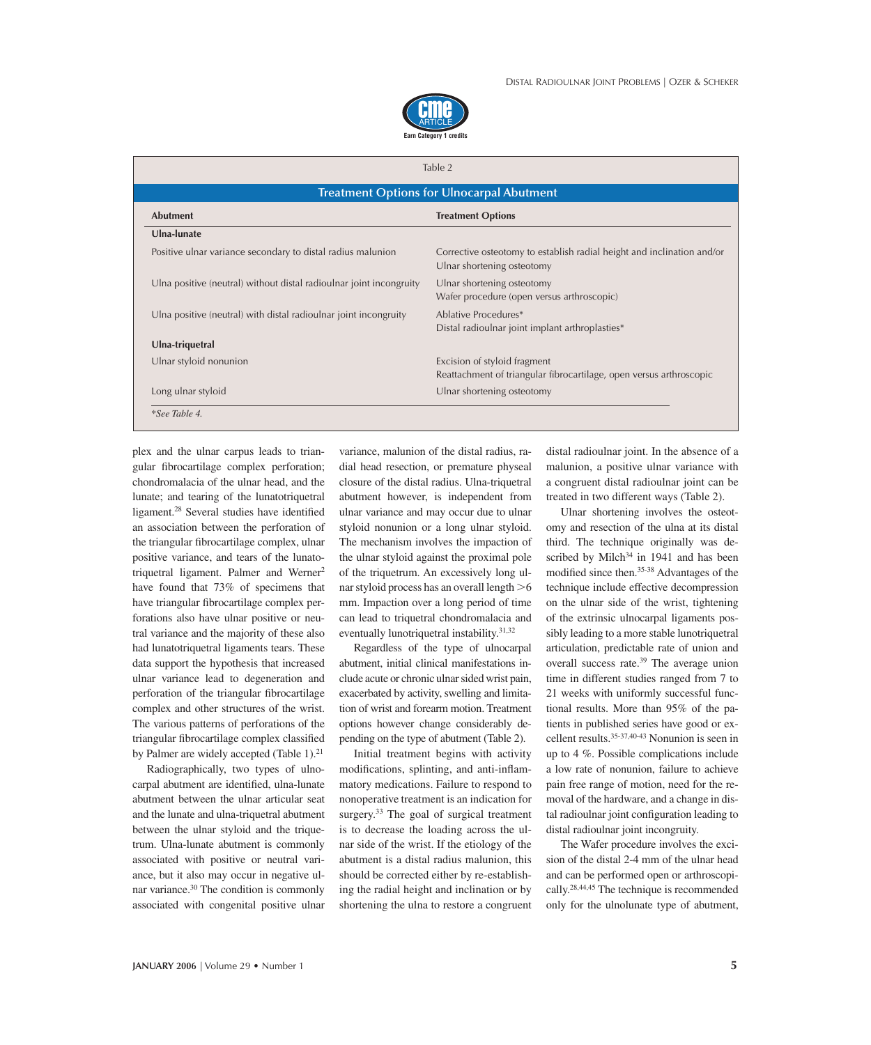

#### Table 2

| <b>Abutment</b>                                                     | <b>Treatment Options</b>                                                                             |
|---------------------------------------------------------------------|------------------------------------------------------------------------------------------------------|
| Ulna-lunate                                                         |                                                                                                      |
| Positive ulnar variance secondary to distal radius malunion         | Corrective osteotomy to establish radial height and inclination and/or<br>Ulnar shortening osteotomy |
| Ulna positive (neutral) without distal radioulnar joint incongruity | Ulnar shortening osteotomy<br>Wafer procedure (open versus arthroscopic)                             |
| Ulna positive (neutral) with distal radioulnar joint incongruity    | Ablative Procedures*<br>Distal radioulnar joint implant arthroplasties*                              |
| Ulna-triquetral                                                     |                                                                                                      |
| Ulnar styloid nonunion                                              | Excision of styloid fragment                                                                         |
|                                                                     | Reattachment of triangular fibrocartilage, open versus arthroscopic                                  |
| Long ulnar styloid                                                  | Ulnar shortening osteotomy                                                                           |

plex and the ulnar carpus leads to triangular fibrocartilage complex perforation; chondromalacia of the ulnar head, and the lunate; and tearing of the lunatotriquetral ligament.<sup>28</sup> Several studies have identified an association between the perforation of the triangular fibrocartilage complex, ulnar positive variance, and tears of the lunatotriquetral ligament. Palmer and Werner<sup>2</sup> have found that 73% of specimens that have triangular fibrocartilage complex perforations also have ulnar positive or neutral variance and the majority of these also had lunatotriquetral ligaments tears. These data support the hypothesis that increased ulnar variance lead to degeneration and perforation of the triangular fibrocartilage complex and other structures of the wrist. The various patterns of perforations of the triangular fibrocartilage complex classified by Palmer are widely accepted (Table 1).<sup>21</sup>

Radiographically, two types of ulnocarpal abutment are identified, ulna-lunate abutment between the ulnar articular seat and the lunate and ulna-triquetral abutment between the ulnar styloid and the triquetrum. Ulna-lunate abutment is commonly associated with positive or neutral variance, but it also may occur in negative ulnar variance.30 The condition is commonly associated with congenital positive ulnar variance, malunion of the distal radius, radial head resection, or premature physeal closure of the distal radius. Ulna-triquetral abutment however, is independent from ulnar variance and may occur due to ulnar styloid nonunion or a long ulnar styloid. The mechanism involves the impaction of the ulnar styloid against the proximal pole of the triquetrum. An excessively long ulnar styloid process has an overall length  $>6$ mm. Impaction over a long period of time can lead to triquetral chondromalacia and eventually lunotriquetral instability.31,32

Regardless of the type of ulnocarpal abutment, initial clinical manifestations include acute or chronic ulnar sided wrist pain, exacerbated by activity, swelling and limitation of wrist and forearm motion. Treatment options however change considerably depending on the type of abutment (Table 2).

Initial treatment begins with activity modifications, splinting, and anti-inflammatory medications. Failure to respond to nonoperative treatment is an indication for surgery.<sup>33</sup> The goal of surgical treatment is to decrease the loading across the ulnar side of the wrist. If the etiology of the abutment is a distal radius malunion, this should be corrected either by re-establishing the radial height and inclination or by shortening the ulna to restore a congruent

distal radioulnar joint. In the absence of a malunion, a positive ulnar variance with a congruent distal radioulnar joint can be treated in two different ways (Table 2).

Ulnar shortening involves the osteotomy and resection of the ulna at its distal third. The technique originally was described by Milch<sup>34</sup> in 1941 and has been modified since then.<sup>35-38</sup> Advantages of the technique include effective decompression on the ulnar side of the wrist, tightening of the extrinsic ulnocarpal ligaments possibly leading to a more stable lunotriquetral articulation, predictable rate of union and overall success rate.39 The average union time in different studies ranged from 7 to 21 weeks with uniformly successful functional results. More than 95% of the patients in published series have good or excellent results.35-37,40-43 Nonunion is seen in up to 4 %. Possible complications include a low rate of nonunion, failure to achieve pain free range of motion, need for the removal of the hardware, and a change in distal radioulnar joint configuration leading to distal radioulnar joint incongruity.

The Wafer procedure involves the excision of the distal 2-4 mm of the ulnar head and can be performed open or arthroscopically.28,44,45 The technique is recommended only for the ulnolunate type of abutment,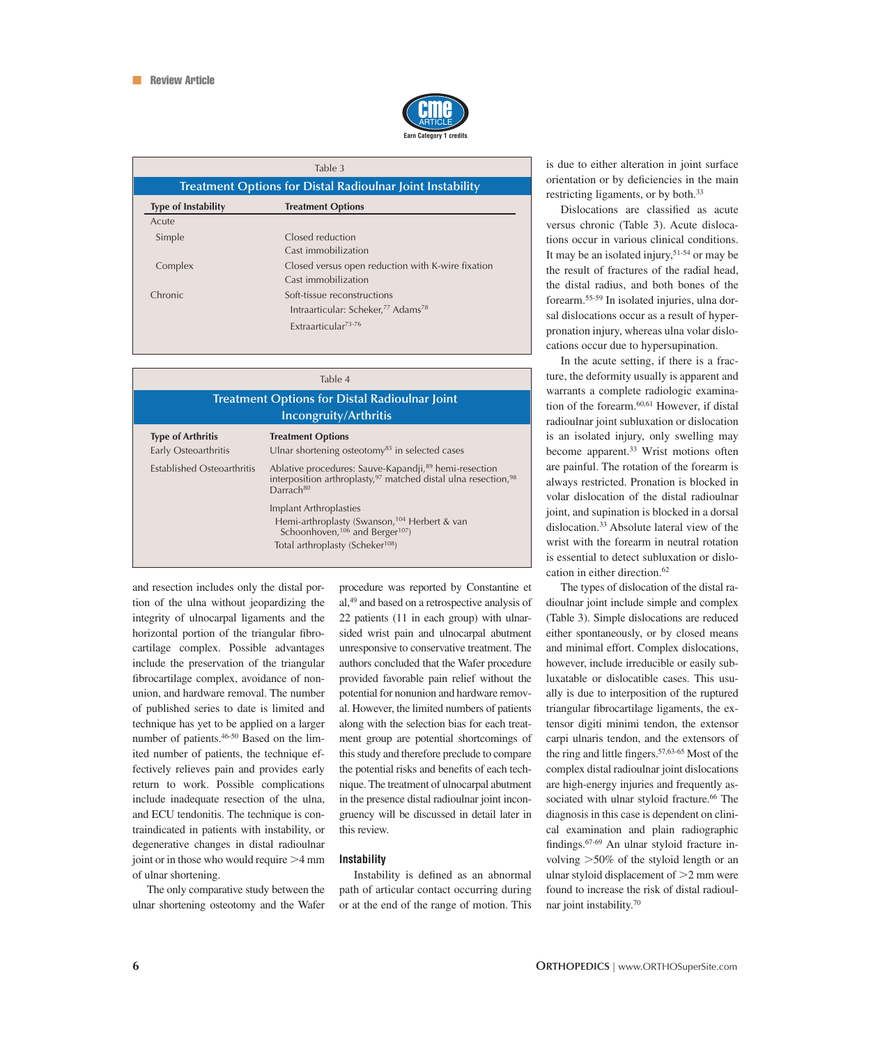

| Table 3                                                          |                                                                                                                              |  |  |  |
|------------------------------------------------------------------|------------------------------------------------------------------------------------------------------------------------------|--|--|--|
| <b>Treatment Options for Distal Radioulnar Joint Instability</b> |                                                                                                                              |  |  |  |
| <b>Type of Instability</b>                                       | <b>Treatment Options</b>                                                                                                     |  |  |  |
| Acute                                                            |                                                                                                                              |  |  |  |
| Simple                                                           | Closed reduction<br>Cast immobilization                                                                                      |  |  |  |
| Complex                                                          | Closed versus open reduction with K-wire fixation<br>Cast immobilization                                                     |  |  |  |
| Chronic                                                          | Soft-tissue reconstructions<br>Intraarticular: Scheker, <sup>77</sup> Adams <sup>78</sup><br>Extraarticular <sup>73-76</sup> |  |  |  |
|                                                                  |                                                                                                                              |  |  |  |

| Table 4<br><b>Treatment Options for Distal Radioulnar Joint</b><br>Incongruity/Arthritis |                                                                                                                                                                                      |  |  |  |
|------------------------------------------------------------------------------------------|--------------------------------------------------------------------------------------------------------------------------------------------------------------------------------------|--|--|--|
|                                                                                          |                                                                                                                                                                                      |  |  |  |
| Established Osteoarthritis                                                               | Ablative procedures: Sauve-Kapandji, <sup>89</sup> hemi-resection<br>interposition arthroplasty, <sup>97</sup> matched distal ulna resection, <sup>98</sup><br>Darrach <sup>80</sup> |  |  |  |
|                                                                                          | Implant Arthroplasties<br>Hemi-arthroplasty (Swanson, <sup>104</sup> Herbert & van<br>Schoonhoven, <sup>106</sup> and Berger <sup>107</sup> )                                        |  |  |  |
|                                                                                          | Total arthroplasty (Scheker <sup>108</sup> )                                                                                                                                         |  |  |  |

and resection includes only the distal portion of the ulna without jeopardizing the integrity of ulnocarpal ligaments and the horizontal portion of the triangular fibrocartilage complex. Possible advantages include the preservation of the triangular fibrocartilage complex, avoidance of nonunion, and hardware removal. The number of published series to date is limited and technique has yet to be applied on a larger number of patients.46-50 Based on the limited number of patients, the technique effectively relieves pain and provides early return to work. Possible complications include inadequate resection of the ulna, and ECU tendonitis. The technique is contraindicated in patients with instability, or degenerative changes in distal radioulnar joint or in those who would require  $>4$  mm of ulnar shortening.

The only comparative study between the ulnar shortening osteotomy and the Wafer procedure was reported by Constantine et al,49 and based on a retrospective analysis of 22 patients (11 in each group) with ulnarsided wrist pain and ulnocarpal abutment unresponsive to conservative treatment. The authors concluded that the Wafer procedure provided favorable pain relief without the potential for nonunion and hardware removal. However, the limited numbers of patients along with the selection bias for each treatment group are potential shortcomings of this study and therefore preclude to compare the potential risks and benefits of each technique. The treatment of ulnocarpal abutment in the presence distal radioulnar joint incongruency will be discussed in detail later in this review.

#### **Instability**

Instability is defined as an abnormal path of articular contact occurring during or at the end of the range of motion. This

is due to either alteration in joint surface orientation or by deficiencies in the main restricting ligaments, or by both.33

Dislocations are classified as acute versus chronic (Table 3). Acute dislocations occur in various clinical conditions. It may be an isolated injury,  $51-54$  or may be the result of fractures of the radial head, the distal radius, and both bones of the forearm.55-59 In isolated injuries, ulna dorsal dislocations occur as a result of hyperpronation injury, whereas ulna volar dislocations occur due to hypersupination.

In the acute setting, if there is a fracture, the deformity usually is apparent and warrants a complete radiologic examination of the forearm.<sup>60,61</sup> However, if distal radioulnar joint subluxation or dislocation is an isolated injury, only swelling may become apparent.<sup>33</sup> Wrist motions often are painful. The rotation of the forearm is always restricted. Pronation is blocked in volar dislocation of the distal radioulnar joint, and supination is blocked in a dorsal dislocation.33 Absolute lateral view of the wrist with the forearm in neutral rotation is essential to detect subluxation or dislocation in either direction.<sup>62</sup>

The types of dislocation of the distal radioulnar joint include simple and complex (Table 3). Simple dislocations are reduced either spontaneously, or by closed means and minimal effort. Complex dislocations, however, include irreducible or easily subluxatable or dislocatible cases. This usually is due to interposition of the ruptured triangular fibrocartilage ligaments, the extensor digiti minimi tendon, the extensor carpi ulnaris tendon, and the extensors of the ring and little fingers. $57,63-65$  Most of the complex distal radioulnar joint dislocations are high-energy injuries and frequently associated with ulnar styloid fracture.<sup>66</sup> The diagnosis in this case is dependent on clinical examination and plain radiographic findings.<sup>67-69</sup> An ulnar styloid fracture involving 50% of the styloid length or an ulnar styloid displacement of  $>2$  mm were found to increase the risk of distal radioulnar joint instability.70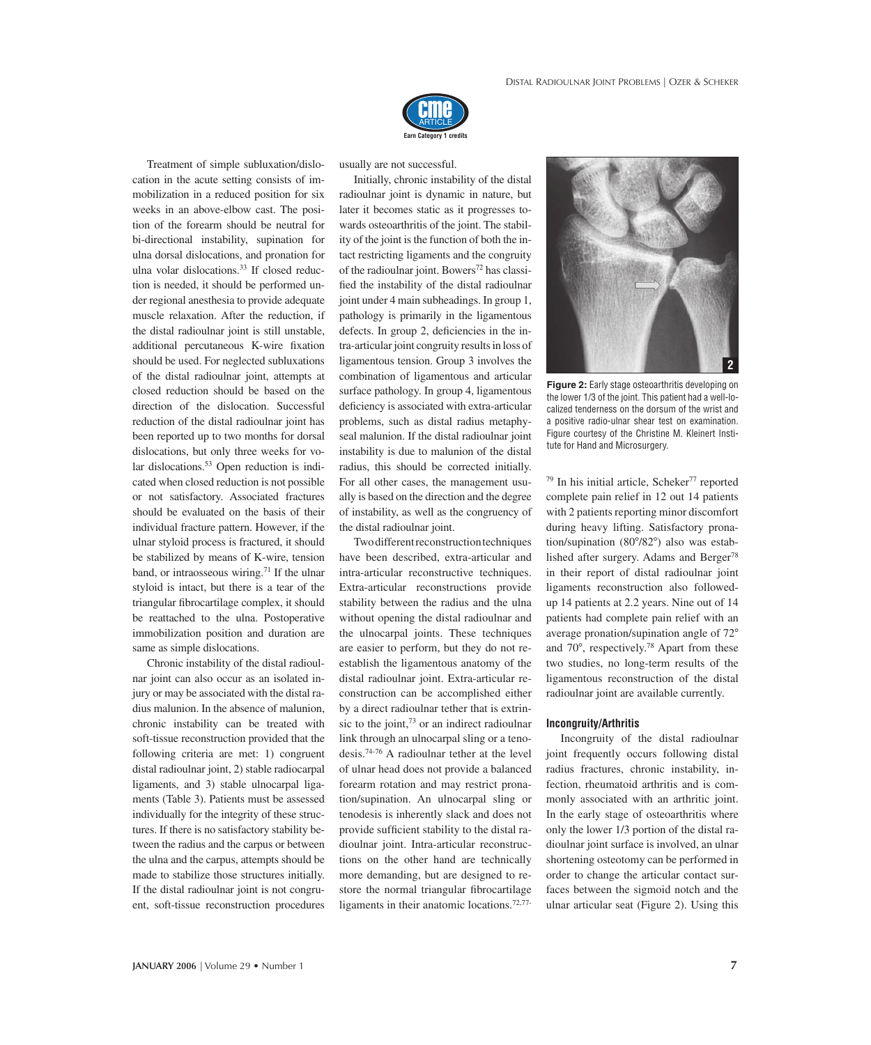

Treatment of simple subluxation/dislocation in the acute setting consists of immobilization in a reduced position for six weeks in an above-elbow cast. The position of the forearm should be neutral for bi-directional instability, supination for ulna dorsal dislocations, and pronation for ulna volar dislocations.<sup>33</sup> If closed reduction is needed, it should be performed under regional anesthesia to provide adequate muscle relaxation. After the reduction, if the distal radioulnar joint is still unstable, additional percutaneous K-wire fixation should be used. For neglected subluxations of the distal radioulnar joint, attempts at closed reduction should be based on the direction of the dislocation. Successful reduction of the distal radioulnar joint has been reported up to two months for dorsal dislocations, but only three weeks for volar dislocations.<sup>53</sup> Open reduction is indicated when closed reduction is not possible or not satisfactory. Associated fractures should be evaluated on the basis of their individual fracture pattern. However, if the ulnar styloid process is fractured, it should be stabilized by means of K-wire, tension band, or intraosseous wiring.<sup>71</sup> If the ulnar styloid is intact, but there is a tear of the triangular fibrocartilage complex, it should be reattached to the ulna. Postoperative immobilization position and duration are same as simple dislocations.

Chronic instability of the distal radioulnar joint can also occur as an isolated injury or may be associated with the distal radius malunion. In the absence of malunion, chronic instability can be treated with soft-tissue reconstruction provided that the following criteria are met: 1) congruent distal radioulnar joint, 2) stable radiocarpal ligaments, and 3) stable ulnocarpal ligaments (Table 3). Patients must be assessed individually for the integrity of these structures. If there is no satisfactory stability between the radius and the carpus or between the ulna and the carpus, attempts should be made to stabilize those structures initially. If the distal radioulnar joint is not congruent, soft-tissue reconstruction procedures usually are not successful.

Initially, chronic instability of the distal radioulnar joint is dynamic in nature, but later it becomes static as it progresses towards osteoarthritis of the joint. The stability of the joint is the function of both the intact restricting ligaments and the congruity of the radioulnar joint. Bowers<sup>72</sup> has classified the instability of the distal radioulnar joint under 4 main subheadings. In group 1, pathology is primarily in the ligamentous defects. In group 2, deficiencies in the intra-articular joint congruity results in loss of ligamentous tension. Group 3 involves the combination of ligamentous and articular surface pathology. In group 4, ligamentous deficiency is associated with extra-articular problems, such as distal radius metaphyseal malunion. If the distal radioulnar joint instability is due to malunion of the distal radius, this should be corrected initially. For all other cases, the management usually is based on the direction and the degree of instability, as well as the congruency of the distal radioulnar joint.

Two different reconstruction techniques have been described, extra-articular and intra-articular reconstructive techniques. Extra-articular reconstructions provide stability between the radius and the ulna without opening the distal radioulnar and the ulnocarpal joints. These techniques are easier to perform, but they do not reestablish the ligamentous anatomy of the distal radioulnar joint. Extra-articular reconstruction can be accomplished either by a direct radioulnar tether that is extrinsic to the joint, $73$  or an indirect radioulnar link through an ulnocarpal sling or a tenodesis.74-76 A radioulnar tether at the level of ulnar head does not provide a balanced forearm rotation and may restrict pronation/supination. An ulnocarpal sling or tenodesis is inherently slack and does not provide sufficient stability to the distal radioulnar joint. Intra-articular reconstructions on the other hand are technically more demanding, but are designed to restore the normal triangular fibrocartilage ligaments in their anatomic locations.72,77-



**Figure 2:** Early stage osteoarthritis developing on the lower 1/3 of the joint. This patient had a well-localized tenderness on the dorsum of the wrist and a positive radio-ulnar shear test on examination. Figure courtesy of the Christine M. Kleinert Institute for Hand and Microsurgery.

 $79$  In his initial article, Scheker<sup>77</sup> reported complete pain relief in 12 out 14 patients with 2 patients reporting minor discomfort during heavy lifting. Satisfactory pronation/supination  $(80^{\circ}/82^{\circ})$  also was established after surgery. Adams and Berger<sup>78</sup> in their report of distal radioulnar joint ligaments reconstruction also followedup 14 patients at 2.2 years. Nine out of 14 patients had complete pain relief with an average pronation/supination angle of 72 and  $70^{\circ}$ , respectively.<sup>78</sup> Apart from these two studies, no long-term results of the ligamentous reconstruction of the distal radioulnar joint are available currently.

#### **Incongruity/Arthritis**

Incongruity of the distal radioulnar joint frequently occurs following distal radius fractures, chronic instability, infection, rheumatoid arthritis and is commonly associated with an arthritic joint. In the early stage of osteoarthritis where only the lower 1/3 portion of the distal radioulnar joint surface is involved, an ulnar shortening osteotomy can be performed in order to change the articular contact surfaces between the sigmoid notch and the ulnar articular seat (Figure 2). Using this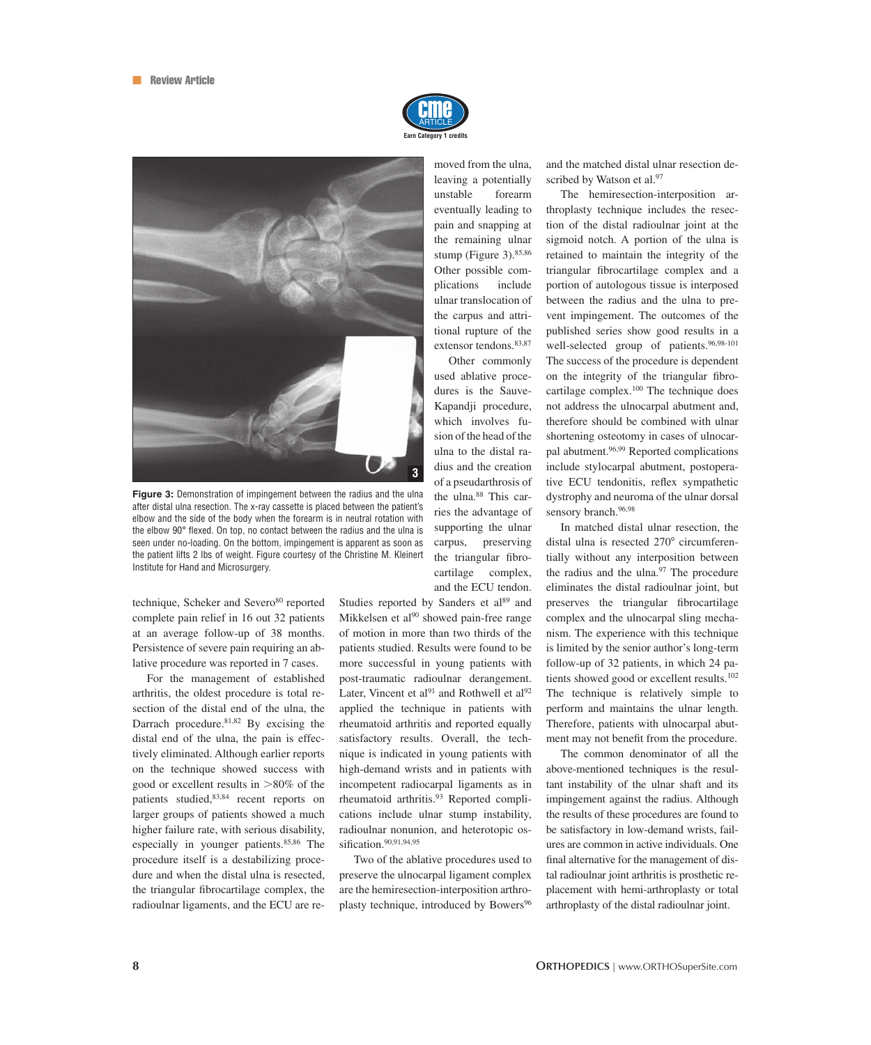



**Figure 3:** Demonstration of impingement between the radius and the ulna after distal ulna resection. The x-ray cassette is placed between the patient's elbow and the side of the body when the forearm is in neutral rotation with the elbow 90° flexed. On top, no contact between the radius and the ulna is seen under no-loading. On the bottom, impingement is apparent as soon as the patient lifts 2 lbs of weight. Figure courtesy of the Christine M. Kleinert Institute for Hand and Microsurgery.

technique, Scheker and Severo<sup>80</sup> reported complete pain relief in 16 out 32 patients at an average follow-up of 38 months. Persistence of severe pain requiring an ablative procedure was reported in 7 cases.

For the management of established arthritis, the oldest procedure is total resection of the distal end of the ulna, the Darrach procedure. $81,82$  By excising the distal end of the ulna, the pain is effectively eliminated. Although earlier reports on the technique showed success with good or excellent results in  $>80\%$  of the patients studied,83,84 recent reports on larger groups of patients showed a much higher failure rate, with serious disability, especially in younger patients.<sup>85,86</sup> The procedure itself is a destabilizing procedure and when the distal ulna is resected, the triangular fibrocartilage complex, the radioulnar ligaments, and the ECU are removed from the ulna, leaving a potentially unstable forearm eventually leading to pain and snapping at the remaining ulnar stump (Figure 3).<sup>85,86</sup> Other possible complications include ulnar translocation of the carpus and attritional rupture of the extensor tendons.<sup>83,87</sup>

Other commonly used ablative procedures is the Sauve-Kapandji procedure, which involves fusion of the head of the ulna to the distal radius and the creation of a pseudarthrosis of the ulna.<sup>88</sup> This carries the advantage of supporting the ulnar carpus, preserving the triangular fibrocartilage complex, and the ECU tendon.

Studies reported by Sanders et al<sup>89</sup> and Mikkelsen et al<sup>90</sup> showed pain-free range of motion in more than two thirds of the patients studied. Results were found to be more successful in young patients with post-traumatic radioulnar derangement. Later, Vincent et al $91$  and Rothwell et al $92$ applied the technique in patients with rheumatoid arthritis and reported equally satisfactory results. Overall, the technique is indicated in young patients with high-demand wrists and in patients with incompetent radiocarpal ligaments as in rheumatoid arthritis.<sup>93</sup> Reported complications include ulnar stump instability, radioulnar nonunion, and heterotopic ossification.<sup>90,91,94,95</sup>

Two of the ablative procedures used to preserve the ulnocarpal ligament complex are the hemiresection-interposition arthroplasty technique, introduced by Bowers<sup>96</sup>

and the matched distal ulnar resection described by Watson et al.<sup>97</sup>

The hemiresection-interposition arthroplasty technique includes the resection of the distal radioulnar joint at the sigmoid notch. A portion of the ulna is retained to maintain the integrity of the triangular fibrocartilage complex and a portion of autologous tissue is interposed between the radius and the ulna to prevent impingement. The outcomes of the published series show good results in a well-selected group of patients.<sup>96,98-101</sup> The success of the procedure is dependent on the integrity of the triangular fibrocartilage complex.100 The technique does not address the ulnocarpal abutment and, therefore should be combined with ulnar shortening osteotomy in cases of ulnocarpal abutment.<sup>96,99</sup> Reported complications include stylocarpal abutment, postoperative ECU tendonitis, reflex sympathetic dystrophy and neuroma of the ulnar dorsal sensory branch.<sup>96,98</sup>

In matched distal ulnar resection, the distal ulna is resected 270° circumferentially without any interposition between the radius and the ulna.<sup>97</sup> The procedure eliminates the distal radioulnar joint, but preserves the triangular fibrocartilage complex and the ulnocarpal sling mechanism. The experience with this technique is limited by the senior author's long-term follow-up of 32 patients, in which 24 patients showed good or excellent results.<sup>102</sup> The technique is relatively simple to perform and maintains the ulnar length. Therefore, patients with ulnocarpal abutment may not benefit from the procedure.

The common denominator of all the above-mentioned techniques is the resultant instability of the ulnar shaft and its impingement against the radius. Although the results of these procedures are found to be satisfactory in low-demand wrists, failures are common in active individuals. One final alternative for the management of distal radioulnar joint arthritis is prosthetic replacement with hemi-arthroplasty or total arthroplasty of the distal radioulnar joint.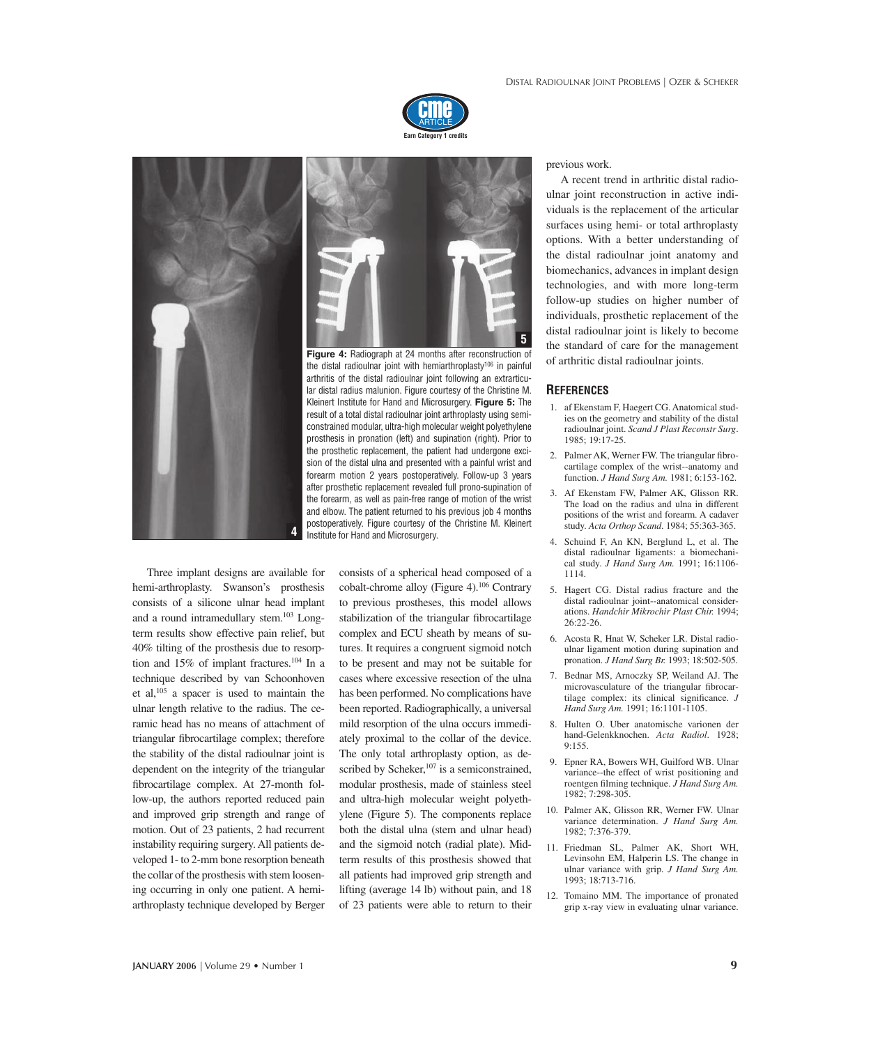



**Figure 4:** Radiograph at 24 months after reconstruction of the distal radioulnar joint with hemiarthroplasty<sup>106</sup> in painful arthritis of the distal radioulnar joint following an extrarticular distal radius malunion. Figure courtesy of the Christine M. Kleinert Institute for Hand and Microsurgery. **Figure 5:** The result of a total distal radioulnar joint arthroplasty using semiconstrained modular, ultra-high molecular weight polyethylene prosthesis in pronation (left) and supination (right). Prior to the prosthetic replacement, the patient had undergone excision of the distal ulna and presented with a painful wrist and forearm motion 2 years postoperatively. Follow-up 3 years after prosthetic replacement revealed full prono-supination of the forearm, as well as pain-free range of motion of the wrist and elbow. The patient returned to his previous job 4 months postoperatively. Figure courtesy of the Christine M. Kleinert Institute for Hand and Microsurgery. **4**

Three implant designs are available for hemi-arthroplasty. Swanson's prosthesis consists of a silicone ulnar head implant and a round intramedullary stem.<sup>103</sup> Longterm results show effective pain relief, but 40% tilting of the prosthesis due to resorption and 15% of implant fractures.<sup>104</sup> In a technique described by van Schoonhoven et al,105 a spacer is used to maintain the ulnar length relative to the radius. The ceramic head has no means of attachment of triangular fibrocartilage complex; therefore the stability of the distal radioulnar joint is dependent on the integrity of the triangular fibrocartilage complex. At 27-month follow-up, the authors reported reduced pain and improved grip strength and range of motion. Out of 23 patients, 2 had recurrent instability requiring surgery. All patients developed 1- to 2-mm bone resorption beneath the collar of the prosthesis with stem loosening occurring in only one patient. A hemiarthroplasty technique developed by Berger consists of a spherical head composed of a cobalt-chrome alloy (Figure 4).106 Contrary to previous prostheses, this model allows stabilization of the triangular fibrocartilage complex and ECU sheath by means of sutures. It requires a congruent sigmoid notch to be present and may not be suitable for cases where excessive resection of the ulna has been performed. No complications have been reported. Radiographically, a universal mild resorption of the ulna occurs immediately proximal to the collar of the device. The only total arthroplasty option, as described by Scheker,<sup>107</sup> is a semiconstrained, modular prosthesis, made of stainless steel and ultra-high molecular weight polyethylene (Figure 5). The components replace both the distal ulna (stem and ulnar head) and the sigmoid notch (radial plate). Midterm results of this prosthesis showed that all patients had improved grip strength and lifting (average 14 lb) without pain, and 18 of 23 patients were able to return to their previous work.

A recent trend in arthritic distal radioulnar joint reconstruction in active individuals is the replacement of the articular surfaces using hemi- or total arthroplasty options. With a better understanding of the distal radioulnar joint anatomy and biomechanics, advances in implant design technologies, and with more long-term follow-up studies on higher number of individuals, prosthetic replacement of the distal radioulnar joint is likely to become the standard of care for the management of arthritic distal radioulnar joints.

#### **REFERENCES**

- 1. af Ekenstam F, Haegert CG. Anatomical studies on the geometry and stability of the distal radioulnar joint. *Scand J Plast Reconstr Surg*. 1985; 19:17-25.
- 2. Palmer AK, Werner FW. The triangular fibrocartilage complex of the wrist--anatomy and function. *J Hand Surg Am.* 1981; 6:153-162.
- 3. Af Ekenstam FW, Palmer AK, Glisson RR. The load on the radius and ulna in different positions of the wrist and forearm. A cadaver study. *Acta Orthop Scand*. 1984; 55:363-365.
- 4. Schuind F, An KN, Berglund L, et al. The distal radioulnar ligaments: a biomechanical study. *J Hand Surg Am.* 1991; 16:1106- 1114.
- 5. Hagert CG. Distal radius fracture and the distal radioulnar joint--anatomical considerations. *Handchir Mikrochir Plast Chir.* 1994; 26:22-26.
- 6. Acosta R, Hnat W, Scheker LR. Distal radioulnar ligament motion during supination and pronation. *J Hand Surg Br.* 1993; 18:502-505.
- 7. Bednar MS, Arnoczky SP, Weiland AJ. The microvasculature of the triangular fibrocartilage complex: its clinical significance. *J Hand Surg Am.* 1991; 16:1101-1105.
- 8. Hulten O. Uber anatomische varionen der hand-Gelenkknochen. *Acta Radiol*. 1928; 9:155.
- 9. Epner RA, Bowers WH, Guilford WB. Ulnar variance--the effect of wrist positioning and roentgen filming technique. *J Hand Surg Am*. 1982; 7:298-305.
- 10. Palmer AK, Glisson RR, Werner FW. Ulnar variance determination. *J Hand Surg Am.* 1982; 7:376-379.
- 11. Friedman SL, Palmer AK, Short WH, Levinsohn EM, Halperin LS. The change in ulnar variance with grip. *J Hand Surg Am.* 1993; 18:713-716.
- 12. Tomaino MM. The importance of pronated grip x-ray view in evaluating ulnar variance.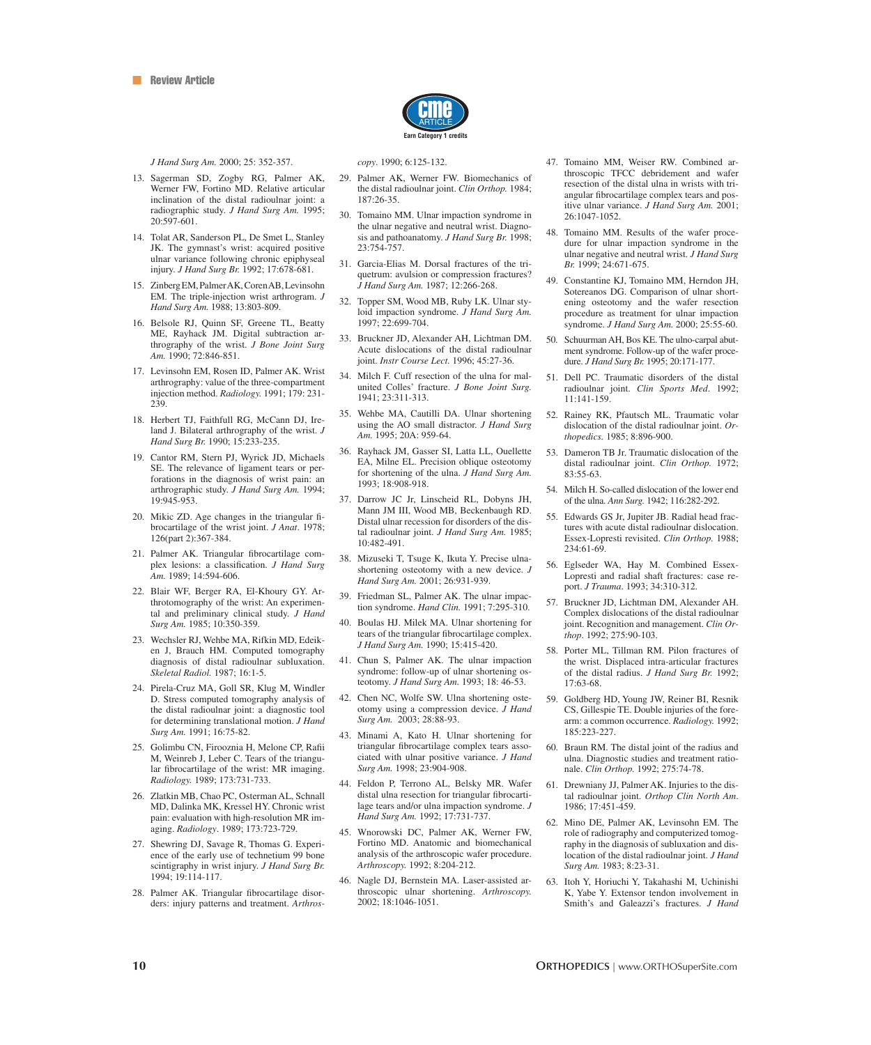

*J Hand Surg Am.* 2000; 25: 352-357.

- 13. Sagerman SD, Zogby RG, Palmer AK, Werner FW, Fortino MD. Relative articular inclination of the distal radioulnar joint: a radiographic study. *J Hand Surg Am.* 1995; 20:597-601.
- 14. Tolat AR, Sanderson PL, De Smet L, Stanley JK. The gymnast's wrist: acquired positive ulnar variance following chronic epiphyseal injury. *J Hand Surg Br.* 1992; 17:678-681.
- 15. Zinberg EM, Palmer AK, Coren AB, Levinsohn EM. The triple-injection wrist arthrogram. *J Hand Surg Am.* 1988; 13:803-809.
- 16. Belsole RJ, Quinn SF, Greene TL, Beatty ME, Rayhack JM. Digital subtraction arthrography of the wrist. *J Bone Joint Surg Am.* 1990; 72:846-851.
- 17. Levinsohn EM, Rosen ID, Palmer AK. Wrist arthrography: value of the three-compartment injection method. *Radiology.* 1991; 179: 231- 239.
- 18. Herbert TJ, Faithfull RG, McCann DJ, Ireland J. Bilateral arthrography of the wrist. *J Hand Surg Br.* 1990; 15:233-235.
- 19. Cantor RM, Stern PJ, Wyrick JD, Michaels SE. The relevance of ligament tears or perforations in the diagnosis of wrist pain: an arthrographic study. *J Hand Surg Am.* 1994; 19:945-953.
- 20. Mikic ZD. Age changes in the triangular fibrocartilage of the wrist joint. *J Anat*. 1978; 126(part 2):367-384.
- 21. Palmer AK. Triangular fibrocartilage complex lesions: a classification. *J Hand Surg Am.* 1989; 14:594-606.
- 22. Blair WF, Berger RA, El-Khoury GY. Arthrotomography of the wrist: An experimental and preliminary clinical study. *J Hand Surg Am.* 1985; 10:350-359.
- 23. Wechsler RJ, Wehbe MA, Rifkin MD, Edeiken J, Brauch HM. Computed tomography diagnosis of distal radioulnar subluxation. *Skeletal Radiol.* 1987; 16:1-5.
- 24. Pirela-Cruz MA, Goll SR, Klug M, Windler D. Stress computed tomography analysis of the distal radioulnar joint: a diagnostic tool for determining translational motion. *J Hand Surg Am.* 1991; 16:75-82.
- 25. Golimbu CN, Firooznia H, Melone CP, Rafi i M, Weinreb J, Leber C. Tears of the triangular fibrocartilage of the wrist: MR imaging. *Radiology.* 1989; 173:731-733.
- 26. Zlatkin MB, Chao PC, Osterman AL, Schnall MD, Dalinka MK, Kressel HY. Chronic wrist pain: evaluation with high-resolution MR imaging. *Radiology*. 1989; 173:723-729.
- 27. Shewring DJ, Savage R, Thomas G. Experience of the early use of technetium 99 bone scintigraphy in wrist injury. *J Hand Surg Br.* 1994; 19:114-117.
- 28. Palmer AK. Triangular fibrocartilage disorders: injury patterns and treatment. *Arthros-*

*copy*. 1990; 6:125-132.

- 29. Palmer AK, Werner FW. Biomechanics of the distal radioulnar joint. *Clin Orthop.* 1984; 187:26-35.
- 30. Tomaino MM. Ulnar impaction syndrome in the ulnar negative and neutral wrist. Diagnosis and pathoanatomy. *J Hand Surg Br.* 1998; 23:754-757.
- 31. Garcia-Elias M. Dorsal fractures of the triquetrum: avulsion or compression fractures? *J Hand Surg Am.* 1987; 12:266-268.
- 32. Topper SM, Wood MB, Ruby LK. Ulnar styloid impaction syndrome. *J Hand Surg Am.* 1997; 22:699-704.
- 33. Bruckner JD, Alexander AH, Lichtman DM. Acute dislocations of the distal radioulnar joint. *Instr Course Lect.* 1996; 45:27-36.
- 34. Milch F. Cuff resection of the ulna for malunited Colles' fracture. *J Bone Joint Surg.* 1941; 23:311-313.
- 35. Wehbe MA, Cautilli DA. Ulnar shortening using the AO small distractor. *J Hand Surg Am.* 1995; 20A: 959-64.
- 36. Rayhack JM, Gasser SI, Latta LL, Ouellette EA, Milne EL. Precision oblique osteotomy for shortening of the ulna. *J Hand Surg Am.* 1993; 18:908-918.
- 37. Darrow JC Jr, Linscheid RL, Dobyns JH, Mann JM III, Wood MB, Beckenbaugh RD. Distal ulnar recession for disorders of the distal radioulnar joint. *J Hand Surg Am.* 1985; 10:482-491.
- 38. Mizuseki T, Tsuge K, Ikuta Y. Precise ulnashortening osteotomy with a new device. *J Hand Surg Am.* 2001; 26:931-939.
- 39. Friedman SL, Palmer AK. The ulnar impaction syndrome. *Hand Clin.* 1991; 7:295-310.
- 40. Boulas HJ. Milek MA. Ulnar shortening for tears of the triangular fibrocartilage complex. *J Hand Surg Am.* 1990; 15:415-420.
- 41. Chun S, Palmer AK. The ulnar impaction syndrome: follow-up of ulnar shortening osteotomy. *J Hand Surg Am.* 1993; 18: 46-53.
- 42. Chen NC, Wolfe SW. Ulna shortening osteotomy using a compression device. *J Hand Surg Am.* 2003; 28:88-93.
- 43. Minami A, Kato H. Ulnar shortening for triangular fibrocartilage complex tears associated with ulnar positive variance. *J Hand Surg Am.* 1998; 23:904-908.
- 44. Feldon P, Terrono AL, Belsky MR. Wafer distal ulna resection for triangular fibrocartilage tears and/or ulna impaction syndrome. *J Hand Surg Am.* 1992; 17:731-737.
- 45. Wnorowski DC, Palmer AK, Werner FW, Fortino MD. Anatomic and biomechanical analysis of the arthroscopic wafer procedure. *Arthroscopy.* 1992; 8:204-212.
- 46. Nagle DJ, Bernstein MA. Laser-assisted arthroscopic ulnar shortening. *Arthroscopy.* 2002; 18:1046-1051.
- 47. Tomaino MM, Weiser RW. Combined arthroscopic TFCC debridement and wafer resection of the distal ulna in wrists with triangular fibrocartilage complex tears and positive ulnar variance. *J Hand Surg Am.* 2001; 26:1047-1052.
- 48. Tomaino MM. Results of the wafer procedure for ulnar impaction syndrome in the ulnar negative and neutral wrist. *J Hand Surg Br.* 1999; 24:671-675.
- 49. Constantine KJ, Tomaino MM, Herndon JH, Sotereanos DG. Comparison of ulnar shortening osteotomy and the wafer resection procedure as treatment for ulnar impaction syndrome. *J Hand Surg Am.* 2000; 25:55-60.
- 50. Schuurman AH, Bos KE. The ulno-carpal abutment syndrome. Follow-up of the wafer procedure. *J Hand Surg Br.* 1995; 20:171-177.
- 51. Dell PC. Traumatic disorders of the distal radioulnar joint. *Clin Sports Med*. 1992; 11:141-159.
- 52. Rainey RK, Pfautsch ML. Traumatic volar dislocation of the distal radioulnar joint. *Orthopedics.* 1985; 8:896-900.
- 53. Dameron TB Jr. Traumatic dislocation of the distal radioulnar joint. *Clin Orthop.* 1972; 83:55-63.
- 54. Milch H. So-called dislocation of the lower end of the ulna. *Ann Surg.* 1942; 116:282-292.
- 55. Edwards GS Jr, Jupiter JB. Radial head fractures with acute distal radioulnar dislocation. Essex-Lopresti revisited. *Clin Orthop.* 1988; 234:61-69.
- 56. Eglseder WA, Hay M. Combined Essex-Lopresti and radial shaft fractures: case report. *J Trauma*. 1993; 34:310-312.
- 57. Bruckner JD, Lichtman DM, Alexander AH. Complex dislocations of the distal radioulnar joint. Recognition and management. *Clin Orthop*. 1992; 275:90-103.
- 58. Porter ML, Tillman RM. Pilon fractures of the wrist. Displaced intra-articular fractures of the distal radius. *J Hand Surg Br.* 1992; 17:63-68.
- 59. Goldberg HD, Young JW, Reiner BI, Resnik CS, Gillespie TE. Double injuries of the forearm: a common occurrence. *Radiology.* 1992; 185:223-227.
- 60. Braun RM. The distal joint of the radius and ulna. Diagnostic studies and treatment rationale. *Clin Orthop.* 1992; 275:74-78.
- 61. Drewniany JJ, Palmer AK. Injuries to the distal radioulnar joint. *Orthop Clin North Am*. 1986; 17:451-459.
- 62. Mino DE, Palmer AK, Levinsohn EM. The role of radiography and computerized tomography in the diagnosis of subluxation and dislocation of the distal radioulnar joint. *J Hand Surg Am.* 1983; 8:23-31.
- 63. Itoh Y, Horiuchi Y, Takahashi M, Uchinishi K, Yabe Y. Extensor tendon involvement in Smith's and Galeazzi's fractures. *J Hand*